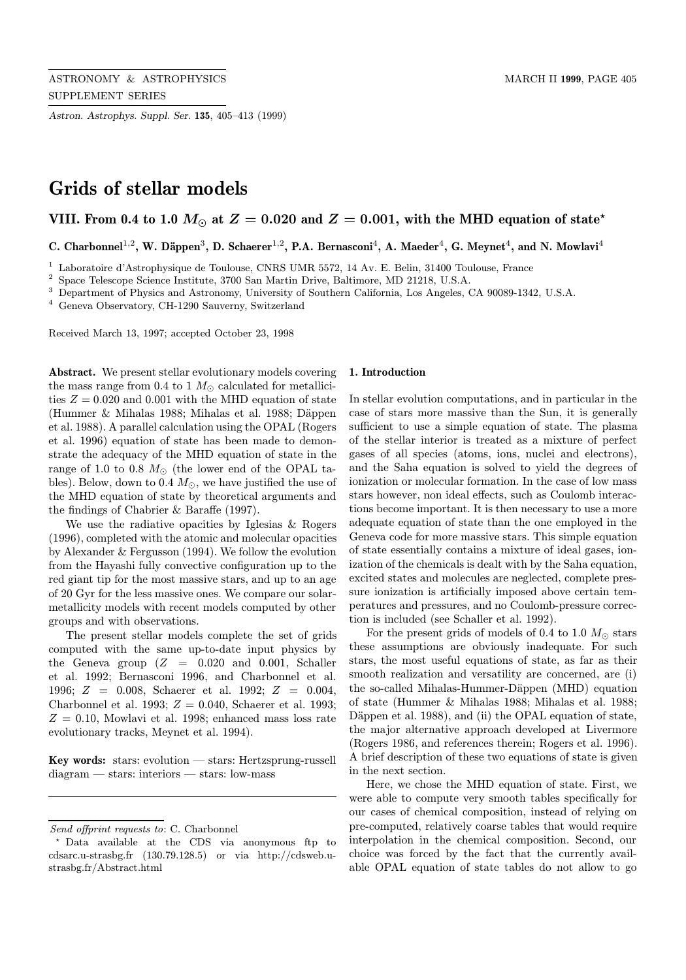Astron. Astrophys. Suppl. Ser. 135, 405–413 (1999)

# Grids of stellar models

## VIII. From 0.4 to 1.0  $M_{\odot}$  at  $Z = 0.020$  and  $Z = 0.001$ , with the MHD equation of state\*

C. Charbonnel<sup>1,2</sup>, W. Däppen<sup>3</sup>, D. Schaerer<sup>1,2</sup>, P.A. Bernasconi<sup>4</sup>, A. Maeder<sup>4</sup>, G. Meynet<sup>4</sup>, and N. Mowlavi<sup>4</sup>

<sup>1</sup> Laboratoire d'Astrophysique de Toulouse, CNRS UMR 5572, 14 Av. E. Belin, 31400 Toulouse, France

<sup>2</sup> Space Telescope Science Institute, 3700 San Martin Drive, Baltimore, MD 21218, U.S.A.

<sup>3</sup> Department of Physics and Astronomy, University of Southern California, Los Angeles, CA 90089-1342, U.S.A.

<sup>4</sup> Geneva Observatory, CH-1290 Sauverny, Switzerland

Received March 13, 1997; accepted October 23, 1998

Abstract. We present stellar evolutionary models covering the mass range from 0.4 to 1  $M_{\odot}$  calculated for metallicities  $Z = 0.020$  and 0.001 with the MHD equation of state (Hummer & Mihalas 1988; Mihalas et al. 1988; Däppen et al. 1988). A parallel calculation using the OPAL (Rogers et al. 1996) equation of state has been made to demonstrate the adequacy of the MHD equation of state in the range of 1.0 to 0.8  $M_{\odot}$  (the lower end of the OPAL tables). Below, down to 0.4  $M_{\odot}$ , we have justified the use of the MHD equation of state by theoretical arguments and the findings of Chabrier & Baraffe (1997).

We use the radiative opacities by Iglesias & Rogers (1996), completed with the atomic and molecular opacities by Alexander & Fergusson (1994). We follow the evolution from the Hayashi fully convective configuration up to the red giant tip for the most massive stars, and up to an age of 20 Gyr for the less massive ones. We compare our solarmetallicity models with recent models computed by other groups and with observations.

The present stellar models complete the set of grids computed with the same up-to-date input physics by the Geneva group  $(Z = 0.020$  and 0.001, Schaller et al. 1992; Bernasconi 1996, and Charbonnel et al. 1996; Z = 0.008, Schaerer et al. 1992; Z = 0.004, Charbonnel et al. 1993;  $Z = 0.040$ , Schaerer et al. 1993;  $Z = 0.10$ , Mowlavi et al. 1998; enhanced mass loss rate evolutionary tracks, Meynet et al. 1994).

Key words: stars: evolution — stars: Hertzsprung-russell diagram — stars: interiors — stars: low-mass

#### 1. Introduction

In stellar evolution computations, and in particular in the case of stars more massive than the Sun, it is generally sufficient to use a simple equation of state. The plasma of the stellar interior is treated as a mixture of perfect gases of all species (atoms, ions, nuclei and electrons), and the Saha equation is solved to yield the degrees of ionization or molecular formation. In the case of low mass stars however, non ideal effects, such as Coulomb interactions become important. It is then necessary to use a more adequate equation of state than the one employed in the Geneva code for more massive stars. This simple equation of state essentially contains a mixture of ideal gases, ionization of the chemicals is dealt with by the Saha equation, excited states and molecules are neglected, complete pressure ionization is artificially imposed above certain temperatures and pressures, and no Coulomb-pressure correction is included (see Schaller et al. 1992).

For the present grids of models of 0.4 to 1.0  $M_{\odot}$  stars these assumptions are obviously inadequate. For such stars, the most useful equations of state, as far as their smooth realization and versatility are concerned, are (i) the so-called Mihalas-Hummer-Däppen (MHD) equation of state (Hummer & Mihalas 1988; Mihalas et al. 1988; Däppen et al. 1988), and (ii) the OPAL equation of state, the major alternative approach developed at Livermore (Rogers 1986, and references therein; Rogers et al. 1996). A brief description of these two equations of state is given in the next section.

Here, we chose the MHD equation of state. First, we were able to compute very smooth tables specifically for our cases of chemical composition, instead of relying on pre-computed, relatively coarse tables that would require interpolation in the chemical composition. Second, our choice was forced by the fact that the currently available OPAL equation of state tables do not allow to go

Send offprint requests to: C. Charbonnel

<sup>?</sup> Data available at the CDS via anonymous ftp to cdsarc.u-strasbg.fr (130.79.128.5) or via http://cdsweb.ustrasbg.fr/Abstract.html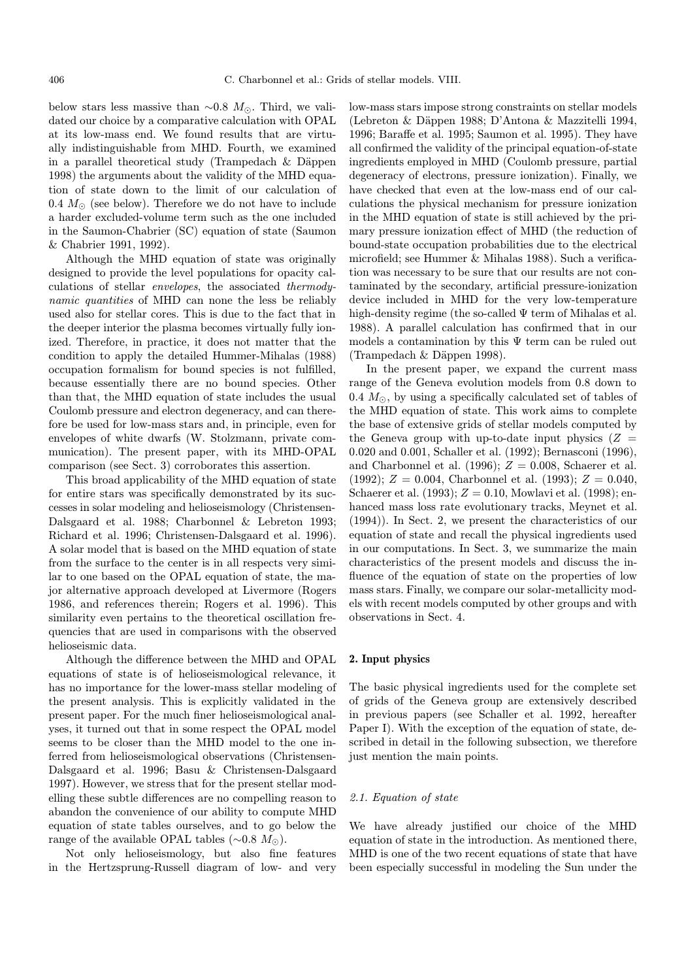below stars less massive than  $\sim 0.8$  M<sub> $\odot$ </sub>. Third, we validated our choice by a comparative calculation with OPAL at its low-mass end. We found results that are virtually indistinguishable from MHD. Fourth, we examined in a parallel theoretical study (Trampedach  $\&$  Däppen 1998) the arguments about the validity of the MHD equation of state down to the limit of our calculation of 0.4  $M_{\odot}$  (see below). Therefore we do not have to include a harder excluded-volume term such as the one included in the Saumon-Chabrier (SC) equation of state (Saumon & Chabrier 1991, 1992).

Although the MHD equation of state was originally designed to provide the level populations for opacity calculations of stellar envelopes, the associated thermodynamic quantities of MHD can none the less be reliably used also for stellar cores. This is due to the fact that in the deeper interior the plasma becomes virtually fully ionized. Therefore, in practice, it does not matter that the condition to apply the detailed Hummer-Mihalas (1988) occupation formalism for bound species is not fulfilled, because essentially there are no bound species. Other than that, the MHD equation of state includes the usual Coulomb pressure and electron degeneracy, and can therefore be used for low-mass stars and, in principle, even for envelopes of white dwarfs (W. Stolzmann, private communication). The present paper, with its MHD-OPAL comparison (see Sect. 3) corroborates this assertion.

This broad applicability of the MHD equation of state for entire stars was specifically demonstrated by its successes in solar modeling and helioseismology (Christensen-Dalsgaard et al. 1988; Charbonnel & Lebreton 1993; Richard et al. 1996; Christensen-Dalsgaard et al. 1996). A solar model that is based on the MHD equation of state from the surface to the center is in all respects very similar to one based on the OPAL equation of state, the major alternative approach developed at Livermore (Rogers 1986, and references therein; Rogers et al. 1996). This similarity even pertains to the theoretical oscillation frequencies that are used in comparisons with the observed helioseismic data.

Although the difference between the MHD and OPAL equations of state is of helioseismological relevance, it has no importance for the lower-mass stellar modeling of the present analysis. This is explicitly validated in the present paper. For the much finer helioseismological analyses, it turned out that in some respect the OPAL model seems to be closer than the MHD model to the one inferred from helioseismological observations (Christensen-Dalsgaard et al. 1996; Basu & Christensen-Dalsgaard 1997). However, we stress that for the present stellar modelling these subtle differences are no compelling reason to abandon the convenience of our ability to compute MHD equation of state tables ourselves, and to go below the range of the available OPAL tables ( $\sim$ 0.8  $M_{\odot}$ ).

Not only helioseismology, but also fine features in the Hertzsprung-Russell diagram of low- and very

low-mass stars impose strong constraints on stellar models (Lebreton & D¨appen 1988; D'Antona & Mazzitelli 1994, 1996; Baraffe et al. 1995; Saumon et al. 1995). They have all confirmed the validity of the principal equation-of-state ingredients employed in MHD (Coulomb pressure, partial degeneracy of electrons, pressure ionization). Finally, we have checked that even at the low-mass end of our calculations the physical mechanism for pressure ionization in the MHD equation of state is still achieved by the primary pressure ionization effect of MHD (the reduction of bound-state occupation probabilities due to the electrical microfield; see Hummer & Mihalas 1988). Such a verification was necessary to be sure that our results are not contaminated by the secondary, artificial pressure-ionization device included in MHD for the very low-temperature high-density regime (the so-called  $\Psi$  term of Mihalas et al. 1988). A parallel calculation has confirmed that in our models a contamination by this  $\Psi$  term can be ruled out  $(Trampedach & Däppen 1998).$ 

In the present paper, we expand the current mass range of the Geneva evolution models from 0.8 down to 0.4  $M_{\odot}$ , by using a specifically calculated set of tables of the MHD equation of state. This work aims to complete the base of extensive grids of stellar models computed by the Geneva group with up-to-date input physics  $(Z =$ 0.020 and 0.001, Schaller et al. (1992); Bernasconi (1996), and Charbonnel et al. (1996);  $Z = 0.008$ , Schaerer et al. (1992);  $Z = 0.004$ , Charbonnel et al. (1993);  $Z = 0.040$ , Schaerer et al. (1993);  $Z = 0.10$ , Mowlavi et al. (1998); enhanced mass loss rate evolutionary tracks, Meynet et al. (1994)). In Sect. 2, we present the characteristics of our equation of state and recall the physical ingredients used in our computations. In Sect. 3, we summarize the main characteristics of the present models and discuss the influence of the equation of state on the properties of low mass stars. Finally, we compare our solar-metallicity models with recent models computed by other groups and with observations in Sect. 4.

#### 2. Input physics

The basic physical ingredients used for the complete set of grids of the Geneva group are extensively described in previous papers (see Schaller et al. 1992, hereafter Paper I). With the exception of the equation of state, described in detail in the following subsection, we therefore just mention the main points.

## 2.1. Equation of state

We have already justified our choice of the MHD equation of state in the introduction. As mentioned there, MHD is one of the two recent equations of state that have been especially successful in modeling the Sun under the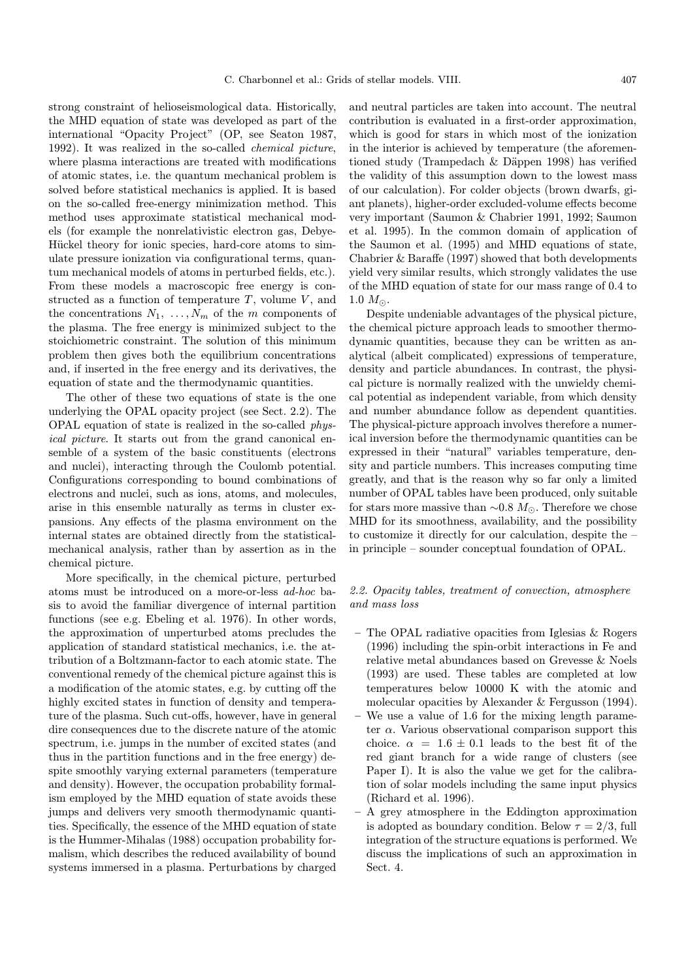strong constraint of helioseismological data. Historically, the MHD equation of state was developed as part of the international "Opacity Project" (OP, see Seaton 1987, 1992). It was realized in the so-called chemical picture, where plasma interactions are treated with modifications of atomic states, i.e. the quantum mechanical problem is solved before statistical mechanics is applied. It is based on the so-called free-energy minimization method. This method uses approximate statistical mechanical models (for example the nonrelativistic electron gas, Debye-Hückel theory for ionic species, hard-core atoms to simulate pressure ionization via configurational terms, quantum mechanical models of atoms in perturbed fields, etc.). From these models a macroscopic free energy is constructed as a function of temperature  $T$ , volume  $V$ , and the concentrations  $N_1, \ldots, N_m$  of the m components of the plasma. The free energy is minimized subject to the stoichiometric constraint. The solution of this minimum problem then gives both the equilibrium concentrations and, if inserted in the free energy and its derivatives, the equation of state and the thermodynamic quantities.

The other of these two equations of state is the one underlying the OPAL opacity project (see Sect. 2.2). The OPAL equation of state is realized in the so-called physical picture. It starts out from the grand canonical ensemble of a system of the basic constituents (electrons and nuclei), interacting through the Coulomb potential. Configurations corresponding to bound combinations of electrons and nuclei, such as ions, atoms, and molecules, arise in this ensemble naturally as terms in cluster expansions. Any effects of the plasma environment on the internal states are obtained directly from the statisticalmechanical analysis, rather than by assertion as in the chemical picture.

More specifically, in the chemical picture, perturbed atoms must be introduced on a more-or-less ad-hoc basis to avoid the familiar divergence of internal partition functions (see e.g. Ebeling et al. 1976). In other words, the approximation of unperturbed atoms precludes the application of standard statistical mechanics, i.e. the attribution of a Boltzmann-factor to each atomic state. The conventional remedy of the chemical picture against this is a modification of the atomic states, e.g. by cutting off the highly excited states in function of density and temperature of the plasma. Such cut-offs, however, have in general dire consequences due to the discrete nature of the atomic spectrum, i.e. jumps in the number of excited states (and thus in the partition functions and in the free energy) despite smoothly varying external parameters (temperature and density). However, the occupation probability formalism employed by the MHD equation of state avoids these jumps and delivers very smooth thermodynamic quantities. Specifically, the essence of the MHD equation of state is the Hummer-Mihalas (1988) occupation probability formalism, which describes the reduced availability of bound systems immersed in a plasma. Perturbations by charged

and neutral particles are taken into account. The neutral contribution is evaluated in a first-order approximation, which is good for stars in which most of the ionization in the interior is achieved by temperature (the aforementioned study (Trampedach & Däppen 1998) has verified the validity of this assumption down to the lowest mass of our calculation). For colder objects (brown dwarfs, giant planets), higher-order excluded-volume effects become very important (Saumon & Chabrier 1991, 1992; Saumon et al. 1995). In the common domain of application of the Saumon et al. (1995) and MHD equations of state, Chabrier & Baraffe (1997) showed that both developments yield very similar results, which strongly validates the use of the MHD equation of state for our mass range of 0.4 to  $1.0 M_{\odot}$ .

Despite undeniable advantages of the physical picture, the chemical picture approach leads to smoother thermodynamic quantities, because they can be written as analytical (albeit complicated) expressions of temperature, density and particle abundances. In contrast, the physical picture is normally realized with the unwieldy chemical potential as independent variable, from which density and number abundance follow as dependent quantities. The physical-picture approach involves therefore a numerical inversion before the thermodynamic quantities can be expressed in their "natural" variables temperature, density and particle numbers. This increases computing time greatly, and that is the reason why so far only a limited number of OPAL tables have been produced, only suitable for stars more massive than  $\sim 0.8 M_{\odot}$ . Therefore we chose MHD for its smoothness, availability, and the possibility to customize it directly for our calculation, despite the – in principle – sounder conceptual foundation of OPAL.

## 2.2. Opacity tables, treatment of convection, atmosphere and mass loss

- The OPAL radiative opacities from Iglesias & Rogers (1996) including the spin-orbit interactions in Fe and relative metal abundances based on Grevesse & Noels (1993) are used. These tables are completed at low temperatures below 10000 K with the atomic and molecular opacities by Alexander & Fergusson (1994).
- We use a value of 1.6 for the mixing length parameter  $\alpha$ . Various observational comparison support this choice.  $\alpha = 1.6 \pm 0.1$  leads to the best fit of the red giant branch for a wide range of clusters (see Paper I). It is also the value we get for the calibration of solar models including the same input physics (Richard et al. 1996).
- A grey atmosphere in the Eddington approximation is adopted as boundary condition. Below  $\tau = 2/3$ , full integration of the structure equations is performed. We discuss the implications of such an approximation in Sect. 4.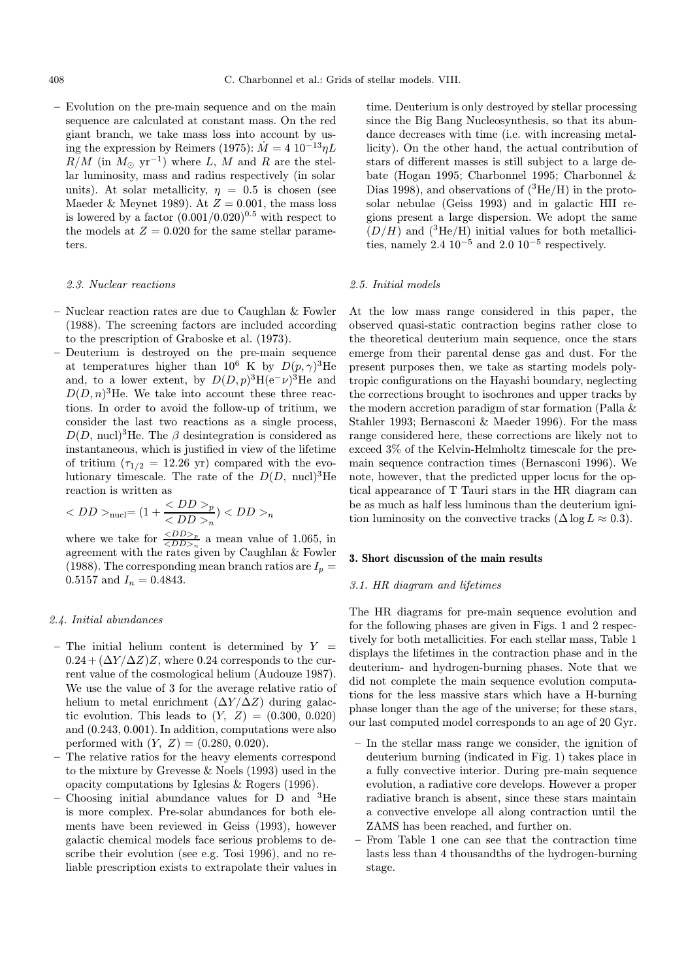– Evolution on the pre-main sequence and on the main sequence are calculated at constant mass. On the red giant branch, we take mass loss into account by using the expression by Reimers (1975):  $\dot{M} = 4 \; 10^{-13} \eta L$  $R/M$  (in  $M_{\odot}$  yr<sup>-1</sup>) where L, M and R are the stellar luminosity, mass and radius respectively (in solar units). At solar metallicity,  $\eta = 0.5$  is chosen (see Maeder & Meynet 1989). At  $Z = 0.001$ , the mass loss is lowered by a factor  $(0.001/0.020)^{0.5}$  with respect to the models at  $Z = 0.020$  for the same stellar parameters.

#### 2.3. Nuclear reactions

- Nuclear reaction rates are due to Caughlan & Fowler (1988). The screening factors are included according to the prescription of Graboske et al. (1973).
- Deuterium is destroyed on the pre-main sequence at temperatures higher than  $10^6$  K by  $D(p,\gamma)^3$ He and, to a lower extent, by  $D(D, p)^3$ H $(e^- \nu)^3$ He and  $D(D, n)^3$ He. We take into account these three reactions. In order to avoid the follow-up of tritium, we consider the last two reactions as a single process,  $D(D, \text{nucl})^3$ He. The  $\beta$  desintegration is considered as instantaneous, which is justified in view of the lifetime of tritium  $(\tau_{1/2} = 12.26 \text{ yr})$  compared with the evolutionary timescale. The rate of the  $D(D, \text{nucl})^3$ He reaction is written as

$$
\langle DD \rangle_{\text{nucl}} = (1 + \frac{\langle DD \rangle_p}{\langle DD \rangle_n}) \langle DD \rangle_n
$$

where we take for  $\frac{_{p}}{_{n}}$  a mean value of 1.065, in agreement with the rates given by Caughlan & Fowler (1988). The corresponding mean branch ratios are  $I_p =$ 0.5157 and  $I_n = 0.4843$ .

#### 2.4. Initial abundances

- The initial helium content is determined by  $Y =$  $0.24 + (\Delta Y/\Delta Z)Z$ , where 0.24 corresponds to the current value of the cosmological helium (Audouze 1987). We use the value of 3 for the average relative ratio of helium to metal enrichment  $(\Delta Y/\Delta Z)$  during galactic evolution. This leads to  $(Y, Z) = (0.300, 0.020)$ and (0.243, 0.001). In addition, computations were also performed with  $(Y, Z) = (0.280, 0.020)$ .
- The relative ratios for the heavy elements correspond to the mixture by Grevesse & Noels (1993) used in the opacity computations by Iglesias & Rogers (1996).
- Choosing initial abundance values for D and <sup>3</sup>He is more complex. Pre-solar abundances for both elements have been reviewed in Geiss (1993), however galactic chemical models face serious problems to describe their evolution (see e.g. Tosi 1996), and no reliable prescription exists to extrapolate their values in

time. Deuterium is only destroyed by stellar processing since the Big Bang Nucleosynthesis, so that its abundance decreases with time (i.e. with increasing metallicity). On the other hand, the actual contribution of stars of different masses is still subject to a large debate (Hogan 1995; Charbonnel 1995; Charbonnel & Dias 1998), and observations of  $(^{3}He/H)$  in the protosolar nebulae (Geiss 1993) and in galactic HII regions present a large dispersion. We adopt the same  $(D/H)$  and  $({}^{3}\text{He/H})$  initial values for both metallicities, namely 2.4  $10^{-5}$  and 2.0  $10^{-5}$  respectively.

#### 2.5. Initial models

At the low mass range considered in this paper, the observed quasi-static contraction begins rather close to the theoretical deuterium main sequence, once the stars emerge from their parental dense gas and dust. For the present purposes then, we take as starting models polytropic configurations on the Hayashi boundary, neglecting the corrections brought to isochrones and upper tracks by the modern accretion paradigm of star formation (Palla & Stahler 1993; Bernasconi & Maeder 1996). For the mass range considered here, these corrections are likely not to exceed 3% of the Kelvin-Helmholtz timescale for the premain sequence contraction times (Bernasconi 1996). We note, however, that the predicted upper locus for the optical appearance of T Tauri stars in the HR diagram can be as much as half less luminous than the deuterium ignition luminosity on the convective tracks ( $\Delta \log L \approx 0.3$ ).

#### 3. Short discussion of the main results

## 3.1. HR diagram and lifetimes

The HR diagrams for pre-main sequence evolution and for the following phases are given in Figs. 1 and 2 respectively for both metallicities. For each stellar mass, Table 1 displays the lifetimes in the contraction phase and in the deuterium- and hydrogen-burning phases. Note that we did not complete the main sequence evolution computations for the less massive stars which have a H-burning phase longer than the age of the universe; for these stars, our last computed model corresponds to an age of 20 Gyr.

- In the stellar mass range we consider, the ignition of deuterium burning (indicated in Fig. 1) takes place in a fully convective interior. During pre-main sequence evolution, a radiative core develops. However a proper radiative branch is absent, since these stars maintain a convective envelope all along contraction until the ZAMS has been reached, and further on.
- From Table 1 one can see that the contraction time lasts less than 4 thousandths of the hydrogen-burning stage.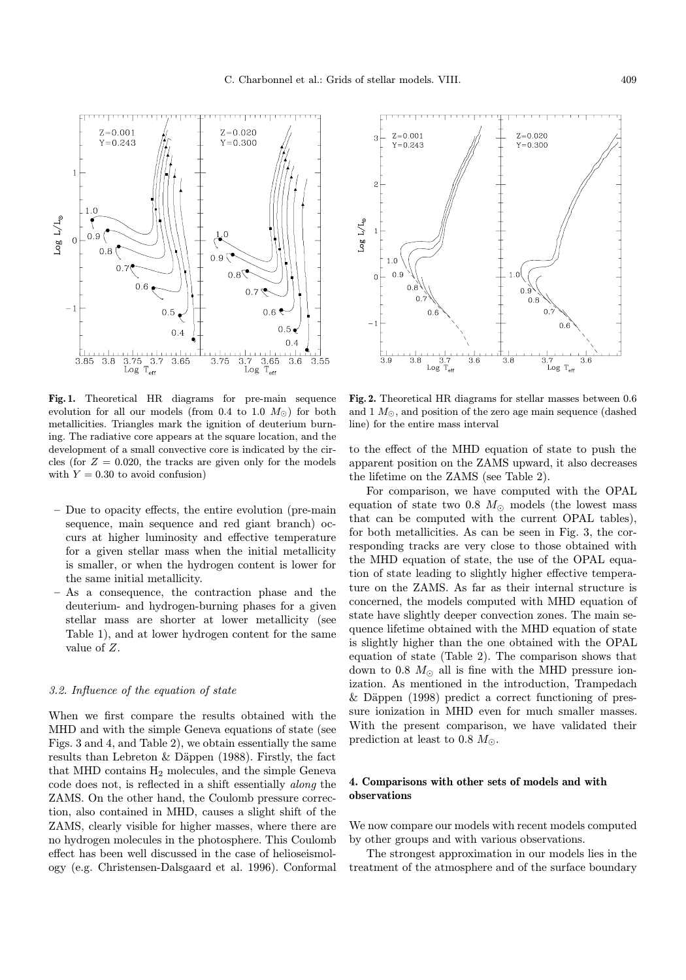Fig. 1. Theoretical HR diagrams for pre-main sequence evolution for all our models (from 0.4 to 1.0  $M_{\odot}$ ) for both metallicities. Triangles mark the ignition of deuterium burning. The radiative core appears at the square location, and the development of a small convective core is indicated by the circles (for  $Z = 0.020$ , the tracks are given only for the models with  $Y = 0.30$  to avoid confusion)

- Due to opacity effects, the entire evolution (pre-main sequence, main sequence and red giant branch) occurs at higher luminosity and effective temperature for a given stellar mass when the initial metallicity is smaller, or when the hydrogen content is lower for the same initial metallicity.
- As a consequence, the contraction phase and the deuterium- and hydrogen-burning phases for a given stellar mass are shorter at lower metallicity (see Table 1), and at lower hydrogen content for the same value of Z.

## 3.2. Influence of the equation of state

When we first compare the results obtained with the MHD and with the simple Geneva equations of state (see Figs. 3 and 4, and Table 2), we obtain essentially the same results than Lebreton  $&$  Däppen (1988). Firstly, the fact that MHD contains  $H_2$  molecules, and the simple Geneva code does not, is reflected in a shift essentially along the ZAMS. On the other hand, the Coulomb pressure correction, also contained in MHD, causes a slight shift of the ZAMS, clearly visible for higher masses, where there are no hydrogen molecules in the photosphere. This Coulomb effect has been well discussed in the case of helioseismology (e.g. Christensen-Dalsgaard et al. 1996). Conformal

Fig. 2. Theoretical HR diagrams for stellar masses between 0.6 and  $1 M_{\odot}$ , and position of the zero age main sequence (dashed line) for the entire mass interval

to the effect of the MHD equation of state to push the apparent position on the ZAMS upward, it also decreases the lifetime on the ZAMS (see Table 2).

For comparison, we have computed with the OPAL equation of state two 0.8  $M_{\odot}$  models (the lowest mass that can be computed with the current OPAL tables), for both metallicities. As can be seen in Fig. 3, the corresponding tracks are very close to those obtained with the MHD equation of state, the use of the OPAL equation of state leading to slightly higher effective temperature on the ZAMS. As far as their internal structure is concerned, the models computed with MHD equation of state have slightly deeper convection zones. The main sequence lifetime obtained with the MHD equation of state is slightly higher than the one obtained with the OPAL equation of state (Table 2). The comparison shows that down to 0.8  $M_{\odot}$  all is fine with the MHD pressure ionization. As mentioned in the introduction, Trampedach  $\&$  Däppen (1998) predict a correct functioning of pressure ionization in MHD even for much smaller masses. With the present comparison, we have validated their prediction at least to 0.8  $M_{\odot}$ .

## 4. Comparisons with other sets of models and with observations

We now compare our models with recent models computed by other groups and with various observations.

The strongest approximation in our models lies in the treatment of the atmosphere and of the surface boundary



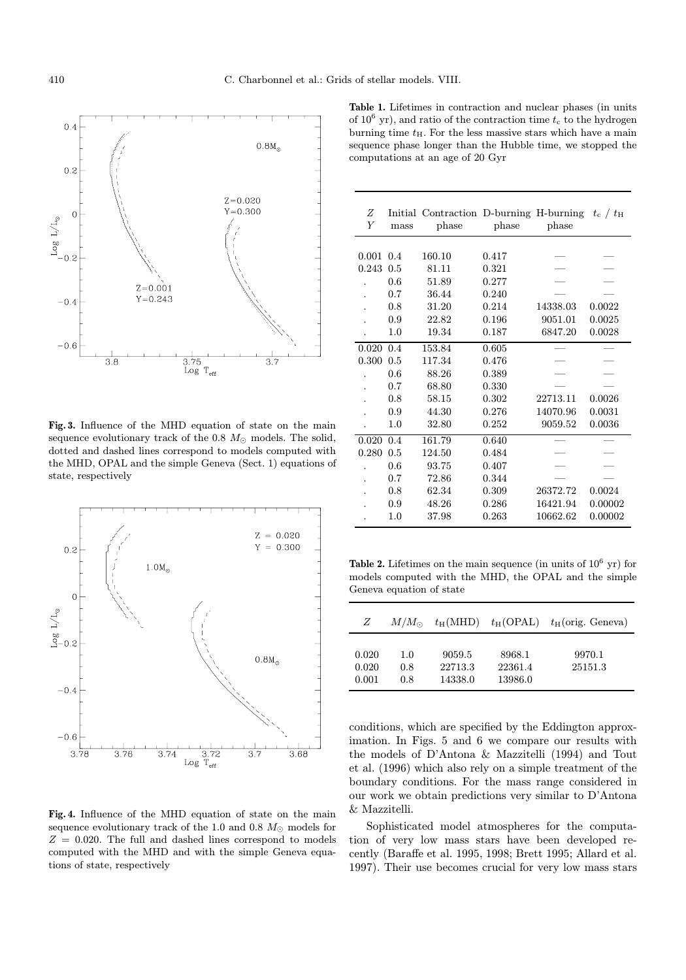

Fig. 3. Influence of the MHD equation of state on the main sequence evolutionary track of the  $0.8 M_{\odot}$  models. The solid, dotted and dashed lines correspond to models computed with the MHD, OPAL and the simple Geneva (Sect. 1) equations of state, respectively



Fig. 4. Influence of the MHD equation of state on the main sequence evolutionary track of the 1.0 and 0.8  $M_{\odot}$  models for  $Z = 0.020$ . The full and dashed lines correspond to models computed with the MHD and with the simple Geneva equations of state, respectively

Table 1. Lifetimes in contraction and nuclear phases (in units of  $10^6$  yr), and ratio of the contraction time  $t_c$  to the hydrogen burning time  $t_{\rm H}.$  For the less massive stars which have a main sequence phase longer than the Hubble time, we stopped the computations at an age of 20 Gyr

| Ζ<br>Y | mass | Initial Contraction D-burning H-burning<br>phase | phase | phase    | $t_c$ / $t_H$ |
|--------|------|--------------------------------------------------|-------|----------|---------------|
|        |      |                                                  |       |          |               |
| 0.001  | 0.4  | 160.10                                           | 0.417 |          |               |
| 0.243  | 0.5  | 81.11                                            | 0.321 |          |               |
|        | 0.6  | 51.89                                            | 0.277 |          |               |
|        | 0.7  | 36.44                                            | 0.240 |          |               |
|        | 0.8  | 31.20                                            | 0.214 | 14338.03 | 0.0022        |
|        | 0.9  | 22.82                                            | 0.196 | 9051.01  | 0.0025        |
|        | 1.0  | 19.34                                            | 0.187 | 6847.20  | 0.0028        |
| 0.020  | 0.4  | 153.84                                           | 0.605 |          |               |
| 0.300  | 0.5  | 117.34                                           | 0.476 |          |               |
|        | 0.6  | 88.26                                            | 0.389 |          |               |
|        | 0.7  | 68.80                                            | 0.330 |          |               |
|        | 0.8  | 58.15                                            | 0.302 | 22713.11 | 0.0026        |
|        | 0.9  | 44.30                                            | 0.276 | 14070.96 | 0.0031        |
|        | 1.0  | 32.80                                            | 0.252 | 9059.52  | 0.0036        |
| 0.020  | 0.4  | 161.79                                           | 0.640 |          |               |
| 0.280  | 0.5  | 124.50                                           | 0.484 |          |               |
|        | 0.6  | 93.75                                            | 0.407 |          |               |
|        | 0.7  | 72.86                                            | 0.344 |          |               |
|        | 0.8  | 62.34                                            | 0.309 | 26372.72 | 0.0024        |
|        | 0.9  | 48.26                                            | 0.286 | 16421.94 | 0.00002       |
|        | 1.0  | 37.98                                            | 0.263 | 10662.62 | 0.00002       |

Table 2. Lifetimes on the main sequence (in units of  $10^6$  yr) for models computed with the MHD, the OPAL and the simple Geneva equation of state

| Z                       | $M/M_{\odot}$     | $t_H(MHD)$                   |                              | $t_{\rm H}$ (OPAL) $t_{\rm H}$ (orig. Geneva) |
|-------------------------|-------------------|------------------------------|------------------------------|-----------------------------------------------|
| 0.020<br>0.020<br>0.001 | 1.0<br>0.8<br>0.8 | 9059.5<br>22713.3<br>14338.0 | 8968.1<br>22361.4<br>13986.0 | 9970.1<br>25151.3                             |

conditions, which are specified by the Eddington approximation. In Figs. 5 and 6 we compare our results with the models of D'Antona & Mazzitelli (1994) and Tout et al. (1996) which also rely on a simple treatment of the boundary conditions. For the mass range considered in our work we obtain predictions very similar to D'Antona & Mazzitelli.

Sophisticated model atmospheres for the computation of very low mass stars have been developed recently (Baraffe et al. 1995, 1998; Brett 1995; Allard et al. 1997). Their use becomes crucial for very low mass stars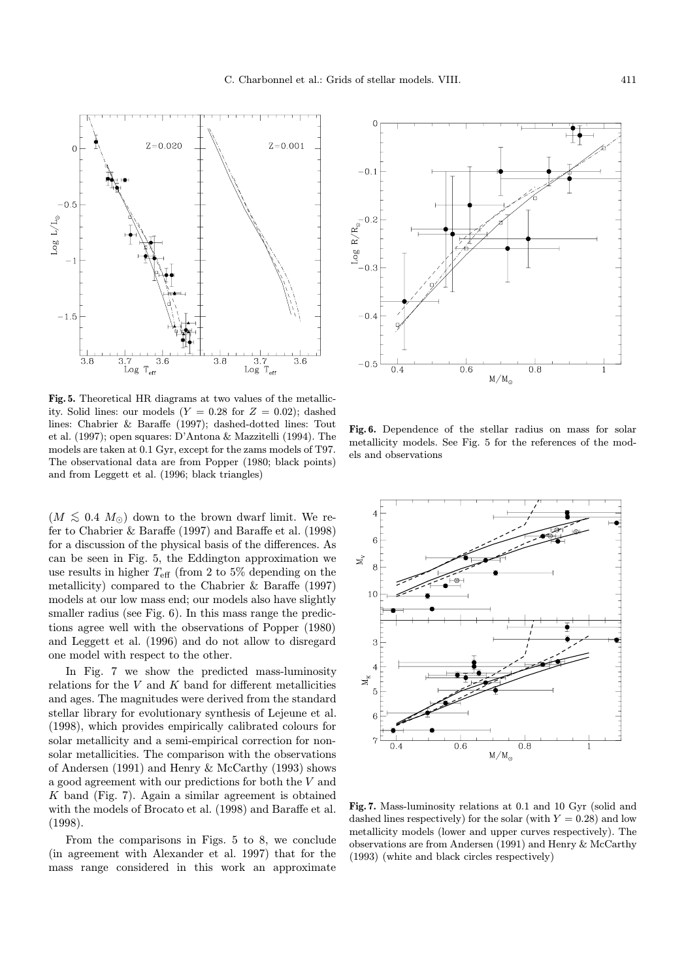$-0.1$ 

 $\begin{array}{c} \begin{array}{c} \text{Log } R/R_{\odot} \\ \text{-} \\ \text{-} \\ \text{-} \\ \text{-} \end{array} \end{array}$ 

 $-0.4$ 

 $-0.5$ 

 $\overline{0.4}$ 

 $Z = 0.001$ 

 $\frac{1}{3.7}$ <br>og T<sub>eff</sub>

 $Log$ 

 $\overline{3.6}$ 

Fig. 5. Theoretical HR diagrams at two values of the metallicity. Solid lines: our models  $(Y = 0.28$  for  $Z = 0.02)$ ; dashed lines: Chabrier & Baraffe (1997); dashed-dotted lines: Tout et al. (1997); open squares: D'Antona & Mazzitelli (1994). The models are taken at 0.1 Gyr, except for the zams models of T97. The observational data are from Popper (1980; black points) and from Leggett et al. (1996; black triangles)

 $\overline{3.8}$ 

 $\frac{3.7}{3.2}$ 

 $3.6$ 

 $Z = 0.020$ 

 $\Omega$ 

 $-0.5$ 

 $-1.5$ 

 $\overline{3.8}$ 

 $\log\,L/L_{\odot}$ 

 $(M \leq 0.4~M_{\odot})$  down to the brown dwarf limit. We refer to Chabrier & Baraffe (1997) and Baraffe et al. (1998) for a discussion of the physical basis of the differences. As can be seen in Fig. 5, the Eddington approximation we use results in higher  $T_{\text{eff}}$  (from 2 to 5% depending on the metallicity) compared to the Chabrier & Baraffe (1997) models at our low mass end; our models also have slightly smaller radius (see Fig. 6). In this mass range the predictions agree well with the observations of Popper (1980) and Leggett et al. (1996) and do not allow to disregard one model with respect to the other.

In Fig. 7 we show the predicted mass-luminosity relations for the  $V$  and  $K$  band for different metallicities and ages. The magnitudes were derived from the standard stellar library for evolutionary synthesis of Lejeune et al. (1998), which provides empirically calibrated colours for solar metallicity and a semi-empirical correction for nonsolar metallicities. The comparison with the observations of Andersen (1991) and Henry & McCarthy (1993) shows a good agreement with our predictions for both the V and K band (Fig. 7). Again a similar agreement is obtained with the models of Brocato et al. (1998) and Baraffe et al. (1998).

From the comparisons in Figs. 5 to 8, we conclude (in agreement with Alexander et al. 1997) that for the mass range considered in this work an approximate



 $M/M_{\odot}$ 

 $0.8$ 

 $\overline{0.6}$ 



Fig. 7. Mass-luminosity relations at 0.1 and 10 Gyr (solid and dashed lines respectively) for the solar (with  $Y = 0.28$ ) and low metallicity models (lower and upper curves respectively). The observations are from Andersen (1991) and Henry & McCarthy (1993) (white and black circles respectively)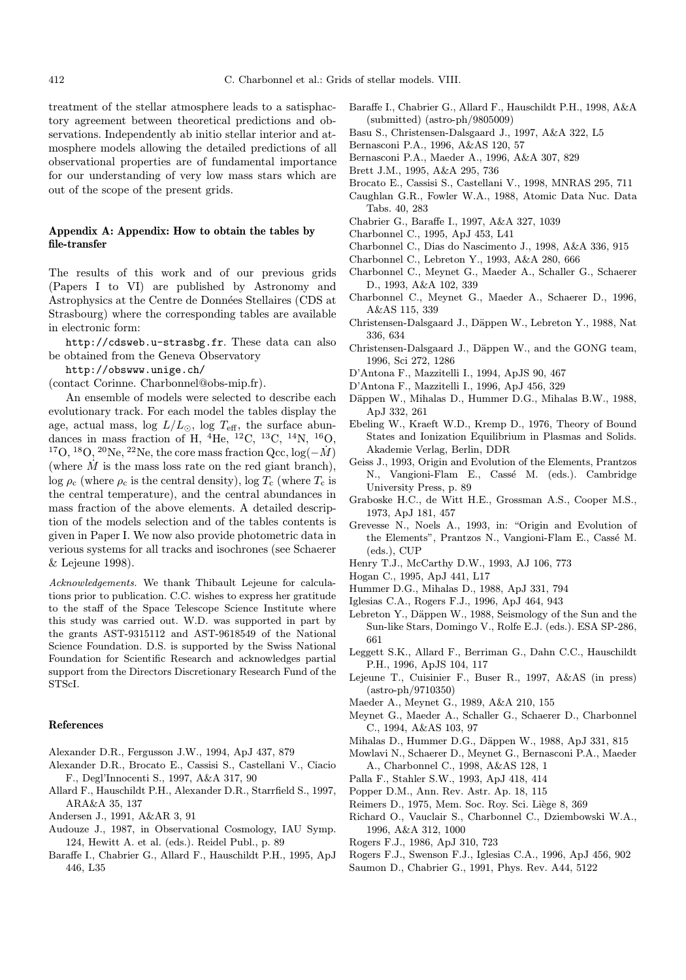treatment of the stellar atmosphere leads to a satisphactory agreement between theoretical predictions and observations. Independently ab initio stellar interior and atmosphere models allowing the detailed predictions of all observational properties are of fundamental importance for our understanding of very low mass stars which are out of the scope of the present grids.

## Appendix A: Appendix: How to obtain the tables by file-transfer

The results of this work and of our previous grids (Papers I to VI) are published by Astronomy and Astrophysics at the Centre de Données Stellaires (CDS at Strasbourg) where the corresponding tables are available in electronic form:

http://cdsweb.u-strasbg.fr. These data can also be obtained from the Geneva Observatory

- http://obswww.unige.ch/
- (contact Corinne. Charbonnel@obs-mip.fr).

An ensemble of models were selected to describe each evolutionary track. For each model the tables display the age, actual mass, log  $L/L_{\odot}$ , log  $T_{\text{eff}}$ , the surface abundances in mass fraction of H,  ${}^{4}$ He,  ${}^{12}$ C,  ${}^{13}$ C,  ${}^{14}$ N,  ${}^{16}$ O, <sup>17</sup>O, <sup>18</sup>O, <sup>20</sup>Ne, <sup>22</sup>Ne, the core mass fraction Qcc,  $log(-M)$ (where  $\dot{M}$  is the mass loss rate on the red giant branch), log  $\rho_c$  (where  $\rho_c$  is the central density), log  $T_c$  (where  $T_c$  is the central temperature), and the central abundances in mass fraction of the above elements. A detailed description of the models selection and of the tables contents is given in Paper I. We now also provide photometric data in verious systems for all tracks and isochrones (see Schaerer & Lejeune 1998).

Acknowledgements. We thank Thibault Lejeune for calculations prior to publication. C.C. wishes to express her gratitude to the staff of the Space Telescope Science Institute where this study was carried out. W.D. was supported in part by the grants AST-9315112 and AST-9618549 of the National Science Foundation. D.S. is supported by the Swiss National Foundation for Scientific Research and acknowledges partial support from the Directors Discretionary Research Fund of the STScI.

#### References

- Alexander D.R., Fergusson J.W., 1994, ApJ 437, 879
- Alexander D.R., Brocato E., Cassisi S., Castellani V., Ciacio F., Degl'Innocenti S., 1997, A&A 317, 90
- Allard F., Hauschildt P.H., Alexander D.R., Starrfield S., 1997, ARA&A 35, 137
- Andersen J., 1991, A&AR 3, 91
- Audouze J., 1987, in Observational Cosmology, IAU Symp. 124, Hewitt A. et al. (eds.). Reidel Publ., p. 89
- Baraffe I., Chabrier G., Allard F., Hauschildt P.H., 1995, ApJ 446, L35
- Baraffe I., Chabrier G., Allard F., Hauschildt P.H., 1998, A&A (submitted) (astro-ph/9805009)
- Basu S., Christensen-Dalsgaard J., 1997, A&A 322, L5
- Bernasconi P.A., 1996, A&AS 120, 57
- Bernasconi P.A., Maeder A., 1996, A&A 307, 829
- Brett J.M., 1995, A&A 295, 736
- Brocato E., Cassisi S., Castellani V., 1998, MNRAS 295, 711
- Caughlan G.R., Fowler W.A., 1988, Atomic Data Nuc. Data Tabs. 40, 283
- Chabrier G., Baraffe I., 1997, A&A 327, 1039
- Charbonnel C., 1995, ApJ 453, L41
- Charbonnel C., Dias do Nascimento J., 1998, A&A 336, 915
- Charbonnel C., Lebreton Y., 1993, A&A 280, 666
- Charbonnel C., Meynet G., Maeder A., Schaller G., Schaerer D., 1993, A&A 102, 339
- Charbonnel C., Meynet G., Maeder A., Schaerer D., 1996, A&AS 115, 339
- Christensen-Dalsgaard J., Däppen W., Lebreton Y., 1988, Nat 336, 634
- Christensen-Dalsgaard J., Däppen W., and the GONG team, 1996, Sci 272, 1286
- D'Antona F., Mazzitelli I., 1994, ApJS 90, 467
- D'Antona F., Mazzitelli I., 1996, ApJ 456, 329
- Däppen W., Mihalas D., Hummer D.G., Mihalas B.W., 1988, ApJ 332, 261
- Ebeling W., Kraeft W.D., Kremp D., 1976, Theory of Bound States and Ionization Equilibrium in Plasmas and Solids. Akademie Verlag, Berlin, DDR
- Geiss J., 1993, Origin and Evolution of the Elements, Prantzos N., Vangioni-Flam E., Cassé M. (eds.). Cambridge University Press, p. 89
- Graboske H.C., de Witt H.E., Grossman A.S., Cooper M.S., 1973, ApJ 181, 457
- Grevesse N., Noels A., 1993, in: "Origin and Evolution of the Elements", Prantzos N., Vangioni-Flam E., Cassé M. (eds.), CUP
- Henry T.J., McCarthy D.W., 1993, AJ 106, 773
- Hogan C., 1995, ApJ 441, L17
- Hummer D.G., Mihalas D., 1988, ApJ 331, 794
- Iglesias C.A., Rogers F.J., 1996, ApJ 464, 943
- Lebreton Y., Däppen W., 1988, Seismology of the Sun and the Sun-like Stars, Domingo V., Rolfe E.J. (eds.). ESA SP-286, 661
- Leggett S.K., Allard F., Berriman G., Dahn C.C., Hauschildt P.H., 1996, ApJS 104, 117
- Lejeune T., Cuisinier F., Buser R., 1997, A&AS (in press) (astro-ph/9710350)
- Maeder A., Meynet G., 1989, A&A 210, 155
- Meynet G., Maeder A., Schaller G., Schaerer D., Charbonnel C., 1994, A&AS 103, 97
- Mihalas D., Hummer D.G., Däppen W., 1988, ApJ 331, 815
- Mowlavi N., Schaerer D., Meynet G., Bernasconi P.A., Maeder A., Charbonnel C., 1998, A&AS 128, 1
- Palla F., Stahler S.W., 1993, ApJ 418, 414
- Popper D.M., Ann. Rev. Astr. Ap. 18, 115
- Reimers D., 1975, Mem. Soc. Roy. Sci. Liège 8, 369
- Richard O., Vauclair S., Charbonnel C., Dziembowski W.A., 1996, A&A 312, 1000
- Rogers F.J., 1986, ApJ 310, 723
- Rogers F.J., Swenson F.J., Iglesias C.A., 1996, ApJ 456, 902
- Saumon D., Chabrier G., 1991, Phys. Rev. A44, 5122